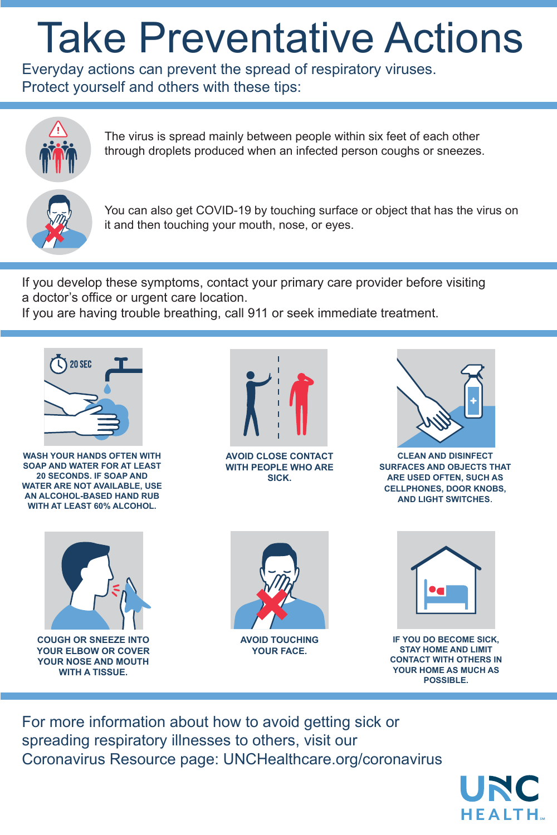Everyday actions can prevent the spread of respiratory viruses. Protect yourself and others with these tips:



For more information about how to avoid getting sick or spreading respiratory illnesses to others, visit our Coronavirus Resource page: UNCHealthcare.org/coronavirus

The virus is spread mainly between people within six feet of each other through droplets produced when an infected person coughs or sneezes.



You can also get COVID-19 by touching surface or object that has the virus on it and then touching your mouth, nose, or eyes.

If you develop these symptoms, contact your primary care provider before visiting a doctor's office or urgent care location.

If you are having trouble breathing, call 911 or seek immediate treatment.

## Take Preventative Actions



**WASH YOUR HANDS OFTEN WITH SOAP AND WATER FOR AT LEAST 20 SECONDS. IF SOAP AND WATER ARE NOT AVAILABLE, USE AN ALCOHOL-BASED HAND RUB WITH AT LEAST 60% ALCOHOL.**



**AVOID CLOSE CONTACT WITH PEOPLE WHO ARE SICK.**



**CLEAN AND DISINFECT SURFACES AND OBJECTS THAT ARE USED OFTEN, SUCH AS CELLPHONES, DOOR KNOBS, AND LIGHT SWITCHES**.



**COUGH OR SNEEZE INTO YOUR ELBOW OR COVER YOUR NOSE AND MOUTH WITH A TISSUE.** 





**AVOID TOUCHING YOUR FACE.**

**IF YOU DO BECOME SICK, STAY HOME AND LIMIT CONTACT WITH OTHERS IN YOUR HOME AS MUCH AS POSSIBLE.**

UNC

**HEALTH**